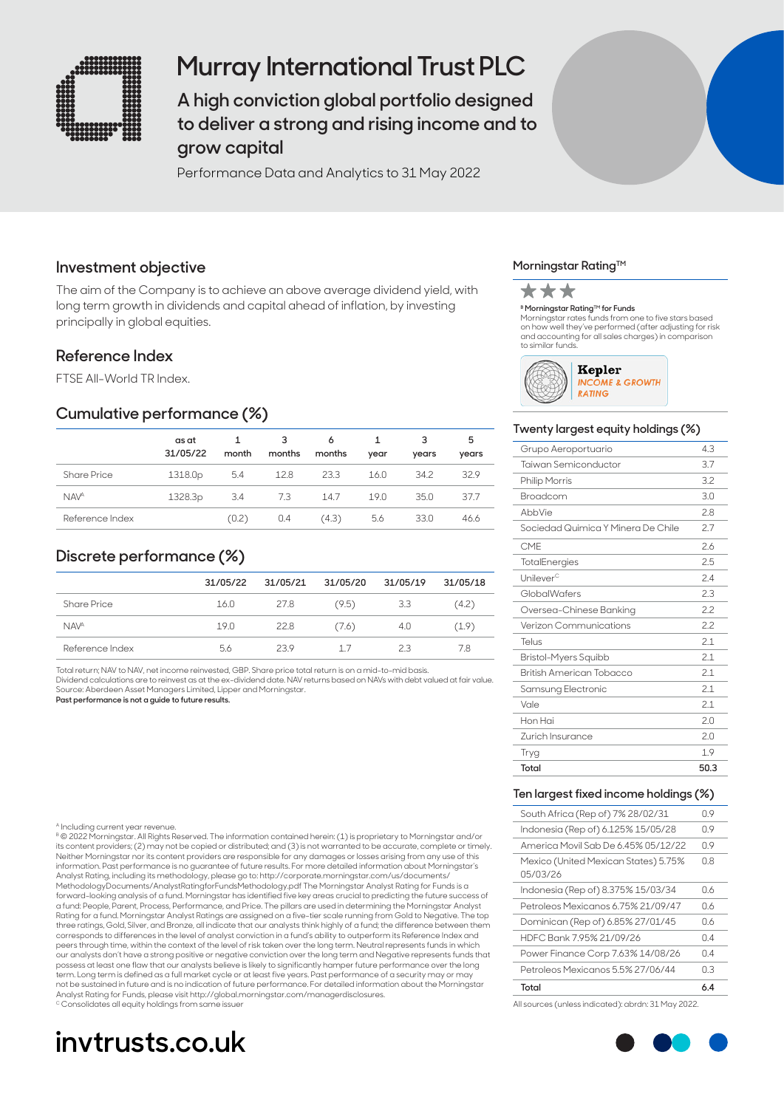

# **Murray International Trust PLC**

**A high conviction global portfolio designed to deliver a strong and rising income and to grow capital**

Performance Data and Analytics to 31 May 2022

# **Investment objective**

The aim of the Company is to achieve an above average dividend yield, with long term growth in dividends and capital ahead of inflation, by investing principally in global equities.

# **Reference Index**

FTSE All-World TR Index.

### **Cumulative performance (%)**

|                    | as at<br>31/05/22 | month | 3<br>months | 6<br>months | year | 3<br>years | 5<br>years |
|--------------------|-------------------|-------|-------------|-------------|------|------------|------------|
| <b>Share Price</b> | 1318.0p           | 5.4   | 12.8        | 23.3        | 16.0 | 34.2       | 32.9       |
| NAV <sup>A</sup>   | 1328.3p           | 3.4   | 7.3         | 14.7        | 19.0 | 35.0       | 37.7       |
| Reference Index    |                   | (0.2) | 0.4         | (4.3)       | 5.6  | 33.0       | 46.6       |

# **Discrete performance (%)**

|                        | 31/05/22 | 31/05/21 | 31/05/20 | 31/05/19 | 31/05/18 |
|------------------------|----------|----------|----------|----------|----------|
| <b>Share Price</b>     | 16.0     | 27.8     | (9.5)    | 3.3      | (4.2)    |
| <b>NAV<sup>A</sup></b> | 19.0     | 22.8     | (7.6)    | 4.0      | (1.9)    |
| Reference Index        | 56       | 239      | -17      | 23       | 7.8      |

Total return; NAV to NAV, net income reinvested, GBP. Share price total return is on a mid-to-mid basis.

Dividend calculations are to reinvest as at the ex-dividend date. NAV returns based on NAVs with debt valued at fair value. Source: Aberdeen Asset Managers Limited, Lipper and Morningstar.

**Past performance is not a guide to future results.**

#### ncluding current year revenue

B © 2022 Morningstar. All Rights Reserved. The information contained herein: (1) is proprietary to Morningstar and/or its content providers; (2) may not be copied or distributed; and (3) is not warranted to be accurate, complete or timely. Neither Morningstar nor its content providers are responsible for any damages or losses arising from any use of this information. Past performance is no guarantee of future results. For more detailed information about Morningstar's Analyst Rating, including its methodology, please go to: http://corporate.morningstar.com/us/documents/<br>MethodologyDocuments/AnalystRatingforFundsMethodology.pdf The Morningstar Analyst Rating for Funds is a forward-looking analysis of a fund. Morningstar has identified five key areas crucial to predicting the future success of<br>a fund: People, Parent, Process, Performance, and Price. The pillars are used in determining the Mor Rating for a fund. Morningstar Analyst Ratings are assigned on a five-tier scale running from Gold to Negative. The top three ratings, Gold, Silver, and Bronze, all indicate that our analysts think highly of a fund; the difference between them corresponds to differences in the level of analyst conviction in a fund's ability to outperform its Reference Index and peers through time, within the context of the level of risk taken over the long term. Neutral represents funds in which our analysts don't have a strong positive or negative conviction over the long term and Negative represents funds that<br>possess at least one flaw that our analysts believe is likely to significantly hamper future performanc term. Long term is defined as a full market cycle or at least five years. Past performance of a security may or may not be sustained in future and is no indication of future performance. For detailed information about the Morningstar Analyst Rating for Funds, please visit http://global.morningstar.com/managerdisclosures. Consolidates all equity holdings from same issue

# **invtrusts.co.uk**

#### **Morningstar Rating™**



<sup>в</sup> **Morningstar Rating™ for Funds**<br>Morningstar rates funds from one to five stars based on how well they've performed (after adjusting for risk and accounting for all sales charges) in comparison to similar funds.



#### **Twenty largest equity holdings (%)**

| Grupo Aeroportuario                | 4.3  |
|------------------------------------|------|
| Taiwan Semiconductor               | 3.7  |
| <b>Philip Morris</b>               | 3.2  |
| Broadcom                           | 3.0  |
| AbbVie                             | 28   |
| Sociedad Quimica Y Minera De Chile | 2.7  |
| <b>CMF</b>                         | 2.6  |
| TotalEnergies                      | 2.5  |
| Unilever <sup>c</sup>              | 24   |
| GlobalWafers                       | 2.3  |
| Oversea-Chinese Banking            | 22   |
| Verizon Communications             | 22   |
| Telus                              | 21   |
| Bristol-Myers Squibb               | 2.1  |
| British American Tobacco           | 2.1  |
| Samsung Electronic                 | 2.1  |
| Vale                               | 2.1  |
| Hon Hai                            | 2.0  |
| Zurich Insurance                   | 2.0  |
| Tryg                               | 1.9  |
| Total                              | 50.3 |

#### **Ten largest fixed income holdings (%)**

| Total                                            | 6.4 |
|--------------------------------------------------|-----|
| Petroleos Mexicanos 5.5% 27/06/44                | OЗ  |
| Power Finance Corp 7.63% 14/08/26                | 0.4 |
| HDFC Bank 7.95% 21/09/26                         | 04  |
| Dominican (Rep of) 6.85% 27/01/45                | 06  |
| Petroleos Mexicanos 6.75% 21/09/47               | 06  |
| Indonesia (Rep of) 8.375% 15/03/34               | 06  |
| Mexico (United Mexican States) 5.75%<br>05/03/26 | 0.8 |
| America Movil Sab De 6.45% 05/12/22              | N 9 |
| Indonesia (Rep of) 6.125% 15/05/28               | N 9 |
| South Africa (Rep of) 7% 28/02/31                | 0.9 |

All sources (unless indicated): abrdn: 31 May 2022.

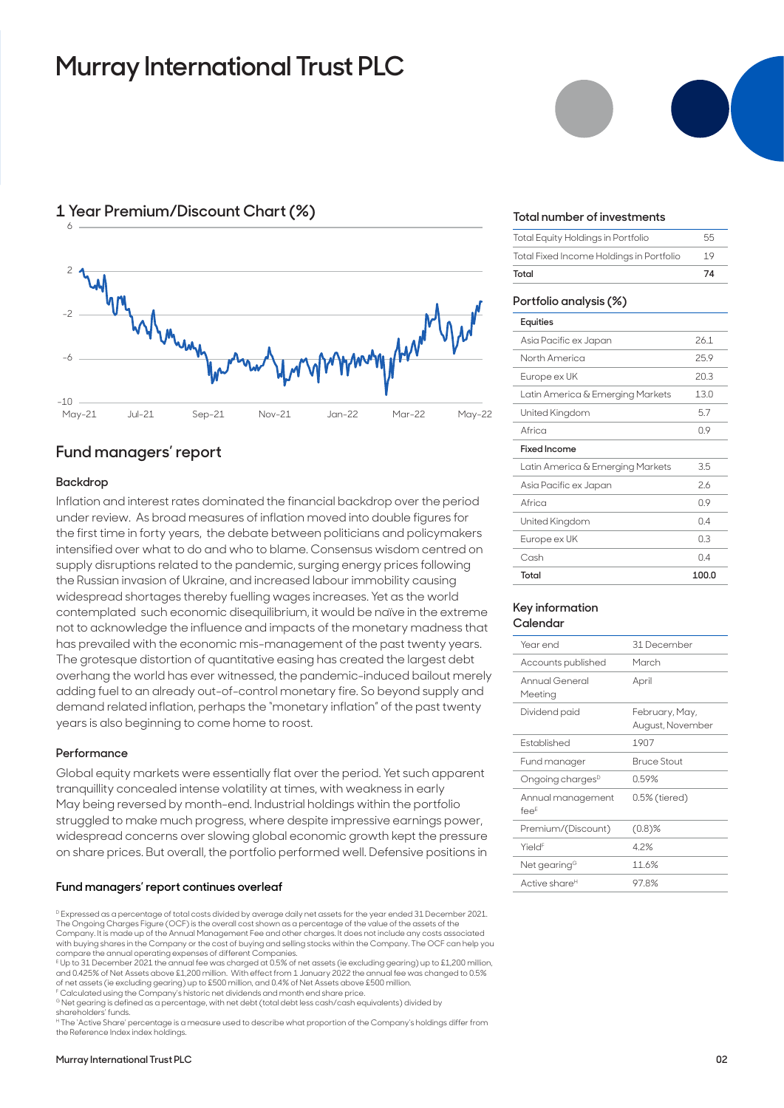# **Murray International Trust PLC**



## **1 Year Premium/Discount Chart (%)**

### **Fund managers' report**

### **Backdrop**

Inflation and interest rates dominated the financial backdrop over the period under review. As broad measures of inflation moved into double figures for the first time in forty years, the debate between politicians and policymakers intensified over what to do and who to blame. Consensus wisdom centred on supply disruptions related to the pandemic, surging energy prices following the Russian invasion of Ukraine, and increased labour immobility causing widespread shortages thereby fuelling wages increases. Yet as the world contemplated such economic disequilibrium, it would be naïve in the extreme not to acknowledge the influence and impacts of the monetary madness that has prevailed with the economic mis-management of the past twenty years. The grotesque distortion of quantitative easing has created the largest debt overhang the world has ever witnessed, the pandemic-induced bailout merely adding fuel to an already out-of-control monetary fire. So beyond supply and demand related inflation, perhaps the "monetary inflation" of the past twenty years is also beginning to come home to roost.

#### **Performance**

Global equity markets were essentially flat over the period. Yet such apparent tranquillity concealed intense volatility at times, with weakness in early May being reversed by month-end. Industrial holdings within the portfolio struggled to make much progress, where despite impressive earnings power, widespread concerns over slowing global economic growth kept the pressure on share prices. But overall, the portfolio performed well. Defensive positions in

#### **Fund managers' report continues overleaf**

D Expressed as a percentage of total costs divided by average daily net assets for the year ended 31 December 2021. The Ongoing Charges Figure (OCF) is the overall cost shown as a percentage of the value of the assets of the Company. It is made up of the Annual Management Fee and other charges. It does not include any costs associated with buying shares in the Company or the cost of buying and selling stocks within the Company. The OCF can help you compare the annual operating expenses of different Companies.

E Up to 31 December 2021 the annual fee was charged at 0.5% of net assets (ie excluding gearing) up to £1,200 million, and 0.425% of Net Assets above £1,200 million. With effect from 1 January 2022 the annual fee was changed to 0.5% of net assets (ie excluding gearing) up to £500 million, and 0.4% of Net Assets above £500 million.

F Calculated using the Company's historic net dividends and month end share price.

<sup>G</sup> Net gearing is defined as a percentage, with net debt (total debt less cash/cash equivalents) divided by shareholders' funds.

H The 'Active Share' percentage is a measure used to describe what proportion of the Company's holdings differ from the Reference Index index holdings.



#### **Total number of investments**

| Total                                    | 74 |
|------------------------------------------|----|
| Total Fixed Income Holdings in Portfolio | 19 |
| Total Equity Holdings in Portfolio       | 55 |

#### **Portfolio analysis (%)**

| Equities                         |       |
|----------------------------------|-------|
| Asia Pacific ex Japan            | 261   |
| North America                    | 25.9  |
| Europe ex UK                     | 20.3  |
| Latin America & Emerging Markets | 13.0  |
| United Kingdom                   | 5.7   |
| Africa                           | 09    |
| Fixed Income                     |       |
| Latin America & Emerging Markets | 3.5   |
| Asia Pacific ex Japan            | 26    |
| Africa                           | 09    |
| United Kingdom                   | 0.4   |
| Europe ex UK                     | OЗ    |
| Cash                             | 04    |
| Total                            | 100.0 |

#### **Key information Calendar**

| Year end                     | 31 December                        |
|------------------------------|------------------------------------|
| Accounts published           | March                              |
| Annual General<br>Meeting    | April                              |
| Dividend paid                | February, May,<br>August, November |
| <b>Fstablished</b>           | 1907                               |
| Fund manager                 | <b>Bruce Stout</b>                 |
| Ongoing charges <sup>D</sup> | 0.59%                              |
| Annual management<br>$fee^E$ | 0.5% (tiered)                      |
| Premium/(Discount)           | $(0.8)$ %                          |
| Yield <sup>F</sup>           | 4.2%                               |
| Net gearing <sup>G</sup>     | 11.6%                              |
| Active share <sup>н</sup>    | 97.8%                              |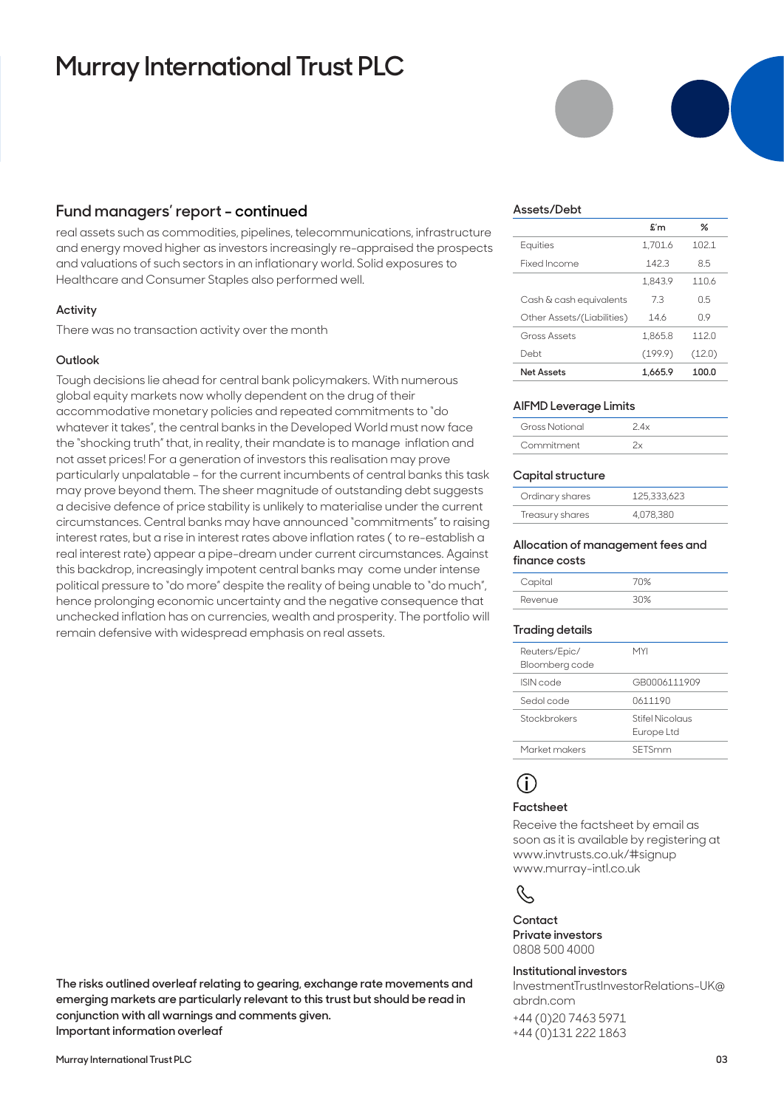# **Murray International Trust PLC**

## **Fund managers' report - continued**

real assets such as commodities, pipelines, telecommunications, infrastructure and energy moved higher as investors increasingly re-appraised the prospects and valuations of such sectors in an inflationary world. Solid exposures to Healthcare and Consumer Staples also performed well.

#### **Activity**

There was no transaction activity over the month

#### **Outlook**

Tough decisions lie ahead for central bank policymakers. With numerous global equity markets now wholly dependent on the drug of their accommodative monetary policies and repeated commitments to "do whatever it takes", the central banks in the Developed World must now face the "shocking truth" that, in reality, their mandate is to manage inflation and not asset prices! For a generation of investors this realisation may prove particularly unpalatable – for the current incumbents of central banks this task may prove beyond them. The sheer magnitude of outstanding debt suggests a decisive defence of price stability is unlikely to materialise under the current circumstances. Central banks may have announced "commitments" to raising interest rates, but a rise in interest rates above inflation rates ( to re-establish a real interest rate) appear a pipe-dream under current circumstances. Against this backdrop, increasingly impotent central banks may come under intense political pressure to "do more" despite the reality of being unable to "do much", hence prolonging economic uncertainty and the negative consequence that unchecked inflation has on currencies, wealth and prosperity. The portfolio will remain defensive with widespread emphasis on real assets.

**The risks outlined overleaf relating to gearing, exchange rate movements and emerging markets are particularly relevant to this trust but should be read in conjunction with all warnings and comments given. Important information overleaf**

|                            | $f{f}$  | ℅      |
|----------------------------|---------|--------|
| Equities                   | 1.701.6 | 102.1  |
| Fixed Income               | 1423    | 85     |
|                            | 1.843.9 | 1106   |
| Cash & cash equivalents    | 73      | 0.5    |
| Other Assets/(Liabilities) | 146     | 09     |
| Gross Assets               | 1.865.8 | 1120   |
| Debt                       | (199.9) | (12.0) |
| <b>Net Assets</b>          | 1.665.9 | 100.0  |

#### **AIFMD Leverage Limits**

| Gross Notional | 2 4 × |
|----------------|-------|
| Commitment     |       |

#### **Capital structure**

| Ordinary shares | 125,333,623 |
|-----------------|-------------|
| Treasury shares | 4.078.380   |

#### **Allocation of management fees and finance costs**

| Capital | 70% |
|---------|-----|
| Revenue | ≫∩? |

#### **Trading details**

| Reuters/Epic/<br>Bloomberg code | MYI                           |
|---------------------------------|-------------------------------|
| ISIN code                       | GB0006111909                  |
| Sedol code                      | 0611190                       |
| Stockbrokers                    | Stifel Nicolaus<br>Europe Ltd |
| Market makers                   | SETSmm                        |
|                                 |                               |

# **i**

#### **Factsheet**

Receive the factsheet by email as soon as it is available by registering at www.invtrusts.co.uk/#signup www.murray-intl.co.uk



**Contact Private investors**  0808 500 4000

#### **Institutional investors**

InvestmentTrustInvestorRelations-UK@ abrdn.com

+44 (0)20 7463 5971 +44 (0)131 222 1863